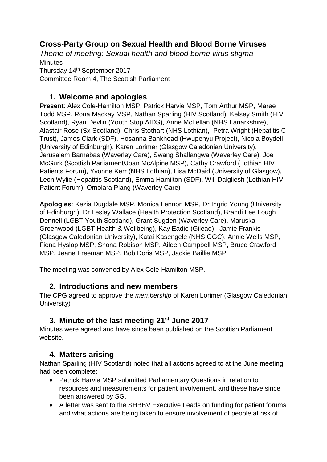# **Cross-Party Group on Sexual Health and Blood Borne Viruses**

*Theme of meeting: Sexual health and blood borne virus stigma* **Minutes** Thursday 14th September 2017 Committee Room 4, The Scottish Parliament

### **1. Welcome and apologies**

**Present**: Alex Cole-Hamilton MSP, Patrick Harvie MSP, Tom Arthur MSP, Maree Todd MSP, Rona Mackay MSP, Nathan Sparling (HIV Scotland), Kelsey Smith (HIV Scotland), Ryan Devlin (Youth Stop AIDS), Anne McLellan (NHS Lanarkshire), Alastair Rose (Sx Scotland), Chris Stothart (NHS Lothian), Petra Wright (Hepatitis C Trust), James Clark (SDF), Hosanna Bankhead (Hwupenyu Project), Nicola Boydell (University of Edinburgh), Karen Lorimer (Glasgow Caledonian University), Jerusalem Barnabas (Waverley Care), Swang Shallangwa (Waverley Care), Joe McGurk (Scottish Parliament/Joan McAlpine MSP), Cathy Crawford (Lothian HIV Patients Forum), Yvonne Kerr (NHS Lothian), Lisa McDaid (University of Glasgow), Leon Wylie (Hepatitis Scotland), Emma Hamilton (SDF), Will Dalgliesh (Lothian HIV Patient Forum), Omolara Plang (Waverley Care)

**Apologies**: Kezia Dugdale MSP, Monica Lennon MSP, Dr Ingrid Young (University of Edinburgh), Dr Lesley Wallace (Health Protection Scotland), Brandi Lee Lough Dennell (LGBT Youth Scotland), Grant Sugden (Waverley Care), Maruska Greenwood (LGBT Health & Wellbeing), Kay Eadie (Gilead), Jamie Frankis (Glasgow Caledonian University), Katai Kasengele (NHS GGC), Annie Wells MSP, Fiona Hyslop MSP, Shona Robison MSP, Aileen Campbell MSP, Bruce Crawford MSP, Jeane Freeman MSP, Bob Doris MSP, Jackie Baillie MSP.

The meeting was convened by Alex Cole-Hamilton MSP.

#### **2. Introductions and new members**

The CPG agreed to approve the *membership* of Karen Lorimer (Glasgow Caledonian University)

## **3. Minute of the last meeting 21st June 2017**

Minutes were agreed and have since been published on the Scottish Parliament website.

#### **4. Matters arising**

Nathan Sparling (HIV Scotland) noted that all actions agreed to at the June meeting had been complete:

- Patrick Harvie MSP submitted Parliamentary Questions in relation to resources and measurements for patient involvement, and these have since been answered by SG.
- A letter was sent to the SHBBV Executive Leads on funding for patient forums and what actions are being taken to ensure involvement of people at risk of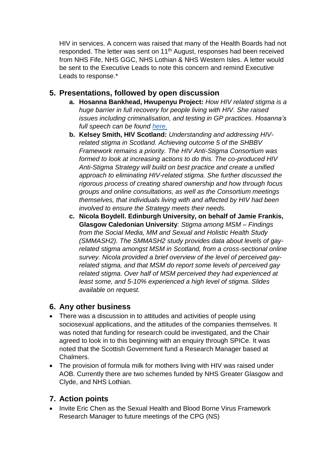HIV in services. A concern was raised that many of the Health Boards had not responded. The letter was sent on 11<sup>th</sup> August, responses had been received from NHS Fife, NHS GGC, NHS Lothian & NHS Western Isles. A letter would be sent to the Executive Leads to note this concern and remind Executive Leads to response.\*

#### **5. Presentations, followed by open discussion**

- **a. Hosanna Bankhead, Hwupenyu Project:** *How HIV related stigma is a huge barrier in full recovery for people living with HIV. She raised issues including criminalisation, and testing in GP practices. Hosanna's full speech can be found [here.](http://www.hwupenyuproject.org/news/a-talk-hosanna-gave-in-the-scottish-parliament-on-stigma-september-14-2017-please-enjoy-the-reading)*
- **b. Kelsey Smith, HIV Scotland:** *Understanding and addressing HIVrelated stigma in Scotland. Achieving outcome 5 of the SHBBV Framework remains a priority. The HIV Anti-Stigma Consortium was formed to look at increasing actions to do this. The co-produced HIV Anti-Stigma Strategy will build on best practice and create a unified approach to eliminating HIV-related stigma. She further discussed the rigorous process of creating shared ownership and how through focus groups and online consultations, as well as the Consortium meetings themselves, that individuals living with and affected by HIV had been involved to ensure the Strategy meets their needs.*
- **c. Nicola Boydell. Edinburgh University, on behalf of Jamie Frankis, Glasgow Caledonian University**: *Stigma among MSM – Findings from the Social Media, MM and Sexual and Holistic Health Study (SMMASH2). The SMMASH2 study provides data about levels of gayrelated stigma amongst MSM in Scotland, from a cross-sectional online survey. Nicola provided a brief overview of the level of perceived gayrelated stigma, and that MSM do report some levels of perceived gay related stigma. Over half of MSM perceived they had experienced at least some, and 5-10% experienced a high level of stigma. Slides available on request.*

#### **6. Any other business**

- There was a discussion in to attitudes and activities of people using sociosexual applications, and the attitudes of the companies themselves. It was noted that funding for research could be investigated, and the Chair agreed to look in to this beginning with an enquiry through SPICe. It was noted that the Scottish Government fund a Research Manager based at Chalmers.
- The provision of formula milk for mothers living with HIV was raised under AOB. Currently there are two schemes funded by NHS Greater Glasgow and Clyde, and NHS Lothian.

## **7. Action points**

 Invite Eric Chen as the Sexual Health and Blood Borne Virus Framework Research Manager to future meetings of the CPG (NS)